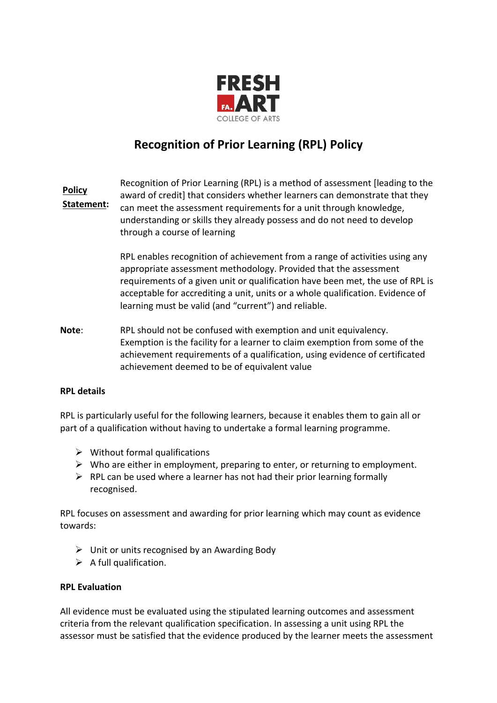

# **Recognition of Prior Learning (RPL) Policy**

Recognition of Prior Learning (RPL) is a method of assessment [leading to the award of credit] that considers whether learners can demonstrate that they can meet the assessment requirements for a unit through knowledge, understanding or skills they already possess and do not need to develop through a course of learning **Policy Statement:**

> RPL enables recognition of achievement from a range of activities using any appropriate assessment methodology. Provided that the assessment requirements of a given unit or qualification have been met, the use of RPL is acceptable for accrediting a unit, units or a whole qualification. Evidence of learning must be valid (and "current") and reliable.

**Note**: RPL should not be confused with exemption and unit equivalency. Exemption is the facility for a learner to claim exemption from some of the achievement requirements of a qualification, using evidence of certificated achievement deemed to be of equivalent value

#### **RPL details**

RPL is particularly useful for the following learners, because it enables them to gain all or part of a qualification without having to undertake a formal learning programme.

- $\triangleright$  Without formal qualifications
- $\triangleright$  Who are either in employment, preparing to enter, or returning to employment.
- $\triangleright$  RPL can be used where a learner has not had their prior learning formally recognised.

RPL focuses on assessment and awarding for prior learning which may count as evidence towards:

- $\triangleright$  Unit or units recognised by an Awarding Body
- $\triangleright$  A full qualification.

#### **RPL Evaluation**

All evidence must be evaluated using the stipulated learning outcomes and assessment criteria from the relevant qualification specification. In assessing a unit using RPL the assessor must be satisfied that the evidence produced by the learner meets the assessment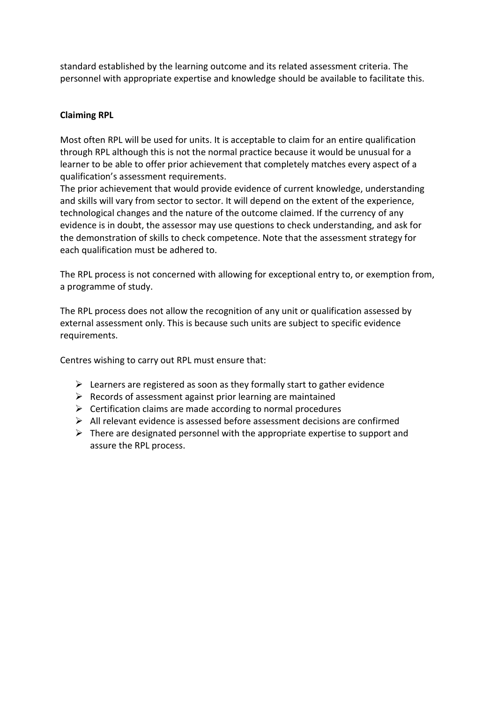standard established by the learning outcome and its related assessment criteria. The personnel with appropriate expertise and knowledge should be available to facilitate this.

## **Claiming RPL**

Most often RPL will be used for units. It is acceptable to claim for an entire qualification through RPL although this is not the normal practice because it would be unusual for a learner to be able to offer prior achievement that completely matches every aspect of a qualification's assessment requirements.

The prior achievement that would provide evidence of current knowledge, understanding and skills will vary from sector to sector. It will depend on the extent of the experience, technological changes and the nature of the outcome claimed. If the currency of any evidence is in doubt, the assessor may use questions to check understanding, and ask for the demonstration of skills to check competence. Note that the assessment strategy for each qualification must be adhered to.

The RPL process is not concerned with allowing for exceptional entry to, or exemption from, a programme of study.

The RPL process does not allow the recognition of any unit or qualification assessed by external assessment only. This is because such units are subject to specific evidence requirements.

Centres wishing to carry out RPL must ensure that:

- $\triangleright$  Learners are registered as soon as they formally start to gather evidence
- $\triangleright$  Records of assessment against prior learning are maintained
- $\triangleright$  Certification claims are made according to normal procedures
- $\triangleright$  All relevant evidence is assessed before assessment decisions are confirmed
- $\triangleright$  There are designated personnel with the appropriate expertise to support and assure the RPL process.